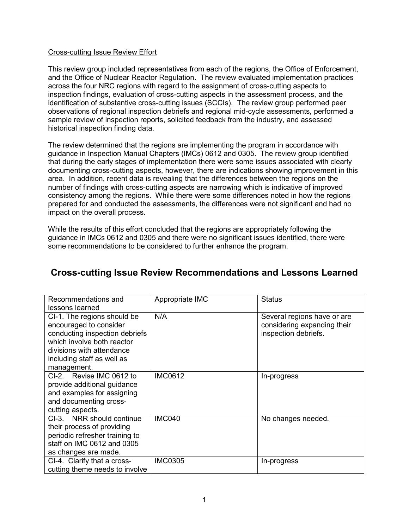## Cross-cutting Issue Review Effort

This review group included representatives from each of the regions, the Office of Enforcement, and the Office of Nuclear Reactor Regulation. The review evaluated implementation practices across the four NRC regions with regard to the assignment of cross-cutting aspects to inspection findings, evaluation of cross-cutting aspects in the assessment process, and the identification of substantive cross-cutting issues (SCCIs). The review group performed peer observations of regional inspection debriefs and regional mid-cycle assessments, performed a sample review of inspection reports, solicited feedback from the industry, and assessed historical inspection finding data.

The review determined that the regions are implementing the program in accordance with guidance in Inspection Manual Chapters (IMCs) 0612 and 0305. The review group identified that during the early stages of implementation there were some issues associated with clearly documenting cross-cutting aspects, however, there are indications showing improvement in this area. In addition, recent data is revealing that the differences between the regions on the number of findings with cross-cutting aspects are narrowing which is indicative of improved consistency among the regions. While there were some differences noted in how the regions prepared for and conducted the assessments, the differences were not significant and had no impact on the overall process.

While the results of this effort concluded that the regions are appropriately following the guidance in IMCs 0612 and 0305 and there were no significant issues identified, there were some recommendations to be considered to further enhance the program.

| Recommendations and<br>lessons learned                                                                                                                                                          | Appropriate IMC | <b>Status</b>                                                                      |
|-------------------------------------------------------------------------------------------------------------------------------------------------------------------------------------------------|-----------------|------------------------------------------------------------------------------------|
| CI-1. The regions should be<br>encouraged to consider<br>conducting inspection debriefs<br>which involve both reactor<br>divisions with attendance<br>including staff as well as<br>management. | N/A             | Several regions have or are<br>considering expanding their<br>inspection debriefs. |
| CI-2. Revise IMC 0612 to<br>provide additional guidance<br>and examples for assigning<br>and documenting cross-<br>cutting aspects.                                                             | <b>IMC0612</b>  | In-progress                                                                        |
| CI-3. NRR should continue<br>their process of providing<br>periodic refresher training to<br>staff on IMC 0612 and 0305<br>as changes are made.                                                 | IMC040          | No changes needed.                                                                 |
| CI-4. Clarify that a cross-<br>cutting theme needs to involve                                                                                                                                   | <b>IMC0305</b>  | In-progress                                                                        |

## **Cross-cutting Issue Review Recommendations and Lessons Learned**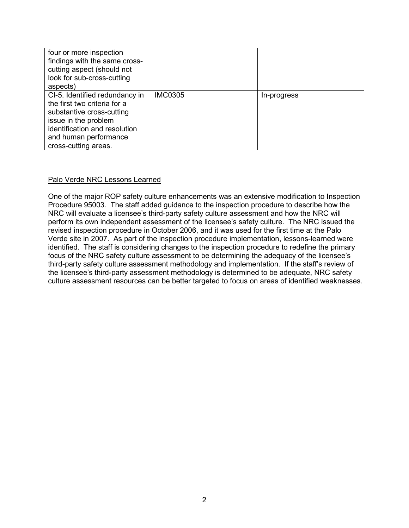| four or more inspection<br>findings with the same cross-<br>cutting aspect (should not<br>look for sub-cross-cutting<br>aspects)                                                                      |                |             |
|-------------------------------------------------------------------------------------------------------------------------------------------------------------------------------------------------------|----------------|-------------|
| CI-5. Identified redundancy in<br>the first two criteria for a<br>substantive cross-cutting<br>issue in the problem<br>identification and resolution<br>and human performance<br>cross-cutting areas. | <b>IMC0305</b> | In-progress |

## Palo Verde NRC Lessons Learned

One of the major ROP safety culture enhancements was an extensive modification to Inspection Procedure 95003. The staff added guidance to the inspection procedure to describe how the NRC will evaluate a licensee's third-party safety culture assessment and how the NRC will perform its own independent assessment of the licensee's safety culture. The NRC issued the revised inspection procedure in October 2006, and it was used for the first time at the Palo Verde site in 2007. As part of the inspection procedure implementation, lessons-learned were identified. The staff is considering changes to the inspection procedure to redefine the primary focus of the NRC safety culture assessment to be determining the adequacy of the licensee's third-party safety culture assessment methodology and implementation. If the staff's review of the licensee's third-party assessment methodology is determined to be adequate, NRC safety culture assessment resources can be better targeted to focus on areas of identified weaknesses.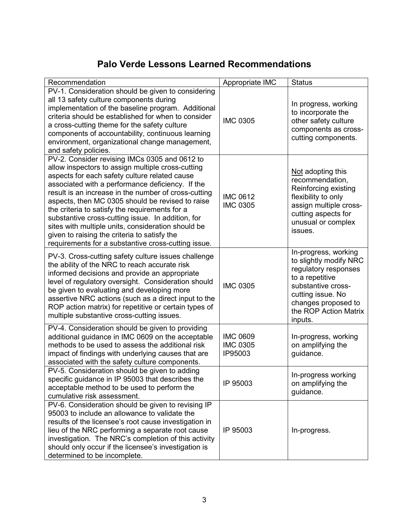## **Palo Verde Lessons Learned Recommendations**

| Recommendation                                                                                                                                                                                                                                                                                                                                                                                                                                                                                                                                                                          | Appropriate IMC                               | <b>Status</b>                                                                                                                                                                                   |
|-----------------------------------------------------------------------------------------------------------------------------------------------------------------------------------------------------------------------------------------------------------------------------------------------------------------------------------------------------------------------------------------------------------------------------------------------------------------------------------------------------------------------------------------------------------------------------------------|-----------------------------------------------|-------------------------------------------------------------------------------------------------------------------------------------------------------------------------------------------------|
| PV-1. Consideration should be given to considering<br>all 13 safety culture components during<br>implementation of the baseline program. Additional<br>criteria should be established for when to consider<br>a cross-cutting theme for the safety culture<br>components of accountability, continuous learning<br>environment, organizational change management,<br>and safety policies.                                                                                                                                                                                               | <b>IMC 0305</b>                               | In progress, working<br>to incorporate the<br>other safety culture<br>components as cross-<br>cutting components.                                                                               |
| PV-2. Consider revising IMCs 0305 and 0612 to<br>allow inspectors to assign multiple cross-cutting<br>aspects for each safety culture related cause<br>associated with a performance deficiency. If the<br>result is an increase in the number of cross-cutting<br>aspects, then MC 0305 should be revised to raise<br>the criteria to satisfy the requirements for a<br>substantive cross-cutting issue. In addition, for<br>sites with multiple units, consideration should be<br>given to raising the criteria to satisfy the<br>requirements for a substantive cross-cutting issue. | <b>IMC 0612</b><br><b>IMC 0305</b>            | Not adopting this<br>recommendation,<br>Reinforcing existing<br>flexibility to only<br>assign multiple cross-<br>cutting aspects for<br>unusual or complex<br>issues.                           |
| PV-3. Cross-cutting safety culture issues challenge<br>the ability of the NRC to reach accurate risk<br>informed decisions and provide an appropriate<br>level of regulatory oversight. Consideration should<br>be given to evaluating and developing more<br>assertive NRC actions (such as a direct input to the<br>ROP action matrix) for repetitive or certain types of<br>multiple substantive cross-cutting issues.                                                                                                                                                               | <b>IMC 0305</b>                               | In-progress, working<br>to slightly modify NRC<br>regulatory responses<br>to a repetitive<br>substantive cross-<br>cutting issue. No<br>changes proposed to<br>the ROP Action Matrix<br>inputs. |
| PV-4. Consideration should be given to providing<br>additional guidance in IMC 0609 on the acceptable<br>methods to be used to assess the additional risk<br>impact of findings with underlying causes that are<br>associated with the safety culture components.                                                                                                                                                                                                                                                                                                                       | <b>IMC 0609</b><br><b>IMC 0305</b><br>IP95003 | In-progress, working<br>on amplifying the<br>guidance.                                                                                                                                          |
| PV-5. Consideration should be given to adding<br>specific guidance in IP 95003 that describes the<br>acceptable method to be used to perform the<br>cumulative risk assessment.                                                                                                                                                                                                                                                                                                                                                                                                         | IP 95003                                      | In-progress working<br>on amplifying the<br>guidance.                                                                                                                                           |
| PV-6. Consideration should be given to revising IP<br>95003 to include an allowance to validate the<br>results of the licensee's root cause investigation in<br>lieu of the NRC performing a separate root cause<br>investigation. The NRC's completion of this activity<br>should only occur if the licensee's investigation is<br>determined to be incomplete.                                                                                                                                                                                                                        | IP 95003                                      | In-progress.                                                                                                                                                                                    |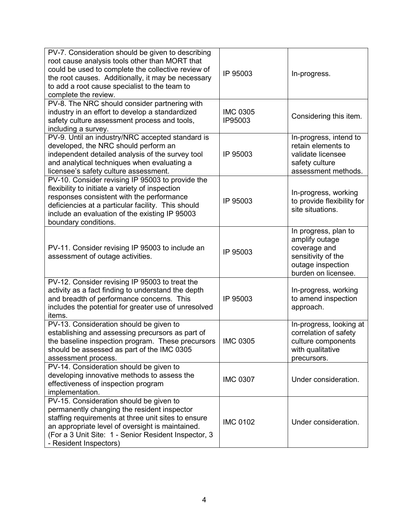| PV-7. Consideration should be given to describing<br>root cause analysis tools other than MORT that                                  |
|--------------------------------------------------------------------------------------------------------------------------------------|
|                                                                                                                                      |
|                                                                                                                                      |
| could be used to complete the collective review of<br>IP 95003<br>In-progress.<br>the root causes. Additionally, it may be necessary |
| to add a root cause specialist to the team to                                                                                        |
|                                                                                                                                      |
| complete the review.                                                                                                                 |
| PV-8. The NRC should consider partnering with                                                                                        |
| industry in an effort to develop a standardized<br><b>IMC 0305</b><br>Considering this item.                                         |
| safety culture assessment process and tools,<br>IP95003                                                                              |
| including a survey.                                                                                                                  |
| PV-9. Until an industry/NRC accepted standard is<br>In-progress, intend to                                                           |
| retain elements to<br>developed, the NRC should perform an                                                                           |
| independent detailed analysis of the survey tool<br>IP 95003<br>validate licensee                                                    |
| and analytical techniques when evaluating a<br>safety culture                                                                        |
| licensee's safety culture assessment.<br>assessment methods.                                                                         |
| PV-10. Consider revising IP 95003 to provide the                                                                                     |
| flexibility to initiate a variety of inspection<br>In-progress, working                                                              |
| responses consistent with the performance<br>to provide flexibility for<br>IP 95003                                                  |
| deficiencies at a particular facility. This should<br>site situations.                                                               |
| include an evaluation of the existing IP 95003                                                                                       |
| boundary conditions.                                                                                                                 |
| In progress, plan to                                                                                                                 |
| amplify outage                                                                                                                       |
| PV-11. Consider revising IP 95003 to include an<br>coverage and<br>IP 95003                                                          |
| sensitivity of the<br>assessment of outage activities.                                                                               |
| outage inspection                                                                                                                    |
| burden on licensee.                                                                                                                  |
| PV-12. Consider revising IP 95003 to treat the                                                                                       |
| activity as a fact finding to understand the depth<br>In-progress, working                                                           |
| and breadth of performance concerns. This<br>to amend inspection<br>IP 95003                                                         |
| includes the potential for greater use of unresolved<br>approach.                                                                    |
| items.                                                                                                                               |
| PV-13. Consideration should be given to<br>In-progress, looking at                                                                   |
| establishing and assessing precursors as part of<br>correlation of safety                                                            |
| the baseline inspection program. These precursors<br><b>IMC 0305</b><br>culture components                                           |
| should be assessed as part of the IMC 0305<br>with qualitative                                                                       |
| assessment process.<br>precursors.                                                                                                   |
| PV-14. Consideration should be given to                                                                                              |
| developing innovative methods to assess the                                                                                          |
| <b>IMC 0307</b><br>Under consideration.<br>effectiveness of inspection program                                                       |
| implementation.                                                                                                                      |
| PV-15. Consideration should be given to                                                                                              |
| permanently changing the resident inspector                                                                                          |
| staffing requirements at three unit sites to ensure                                                                                  |
| <b>IMC 0102</b><br>Under consideration.                                                                                              |
|                                                                                                                                      |
| an appropriate level of oversight is maintained.<br>(For a 3 Unit Site: 1 - Senior Resident Inspector, 3                             |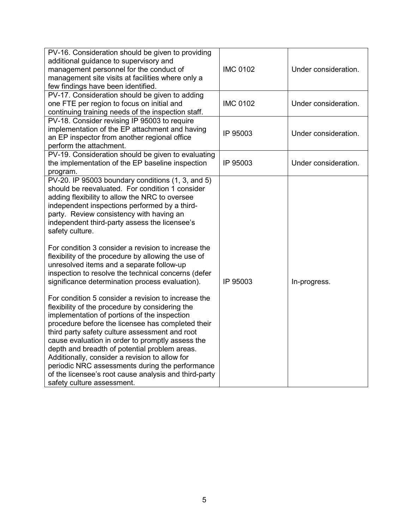| PV-16. Consideration should be given to providing<br>additional guidance to supervisory and<br>management personnel for the conduct of<br>management site visits at facilities where only a<br>few findings have been identified.                                                                                                                                                                                                                                                                                                                                                                                                                                                                                                                                                                                                                                                                                                                                                                                                                                                                                                                              | <b>IMC 0102</b> | Under consideration. |
|----------------------------------------------------------------------------------------------------------------------------------------------------------------------------------------------------------------------------------------------------------------------------------------------------------------------------------------------------------------------------------------------------------------------------------------------------------------------------------------------------------------------------------------------------------------------------------------------------------------------------------------------------------------------------------------------------------------------------------------------------------------------------------------------------------------------------------------------------------------------------------------------------------------------------------------------------------------------------------------------------------------------------------------------------------------------------------------------------------------------------------------------------------------|-----------------|----------------------|
| PV-17. Consideration should be given to adding<br>one FTE per region to focus on initial and<br>continuing training needs of the inspection staff.                                                                                                                                                                                                                                                                                                                                                                                                                                                                                                                                                                                                                                                                                                                                                                                                                                                                                                                                                                                                             | <b>IMC 0102</b> | Under consideration. |
| PV-18. Consider revising IP 95003 to require<br>implementation of the EP attachment and having<br>an EP inspector from another regional office<br>perform the attachment.                                                                                                                                                                                                                                                                                                                                                                                                                                                                                                                                                                                                                                                                                                                                                                                                                                                                                                                                                                                      | IP 95003        | Under consideration. |
| PV-19. Consideration should be given to evaluating<br>the implementation of the EP baseline inspection<br>program.                                                                                                                                                                                                                                                                                                                                                                                                                                                                                                                                                                                                                                                                                                                                                                                                                                                                                                                                                                                                                                             | IP 95003        | Under consideration. |
| PV-20. IP 95003 boundary conditions (1, 3, and 5)<br>should be reevaluated. For condition 1 consider<br>adding flexibility to allow the NRC to oversee<br>independent inspections performed by a third-<br>party. Review consistency with having an<br>independent third-party assess the licensee's<br>safety culture.<br>For condition 3 consider a revision to increase the<br>flexibility of the procedure by allowing the use of<br>unresolved items and a separate follow-up<br>inspection to resolve the technical concerns (defer<br>significance determination process evaluation).<br>For condition 5 consider a revision to increase the<br>flexibility of the procedure by considering the<br>implementation of portions of the inspection<br>procedure before the licensee has completed their<br>third party safety culture assessment and root<br>cause evaluation in order to promptly assess the<br>depth and breadth of potential problem areas.<br>Additionally, consider a revision to allow for<br>periodic NRC assessments during the performance<br>of the licensee's root cause analysis and third-party<br>safety culture assessment. | IP 95003        | In-progress.         |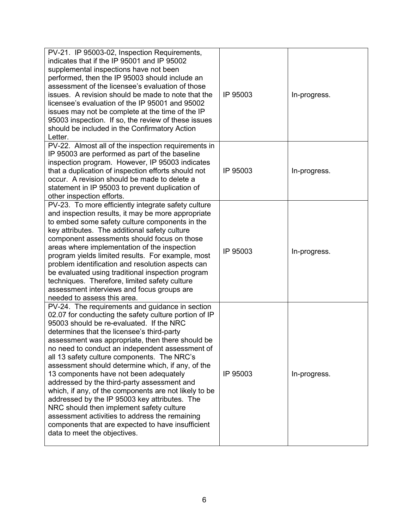| PV-21. IP 95003-02, Inspection Requirements,          |          |              |
|-------------------------------------------------------|----------|--------------|
| indicates that if the IP 95001 and IP 95002           |          |              |
| supplemental inspections have not been                |          |              |
| performed, then the IP 95003 should include an        |          |              |
| assessment of the licensee's evaluation of those      |          |              |
| issues. A revision should be made to note that the    | IP 95003 | In-progress. |
| licensee's evaluation of the IP 95001 and 95002       |          |              |
| issues may not be complete at the time of the IP      |          |              |
| 95003 inspection. If so, the review of these issues   |          |              |
| should be included in the Confirmatory Action         |          |              |
| Letter.                                               |          |              |
| PV-22. Almost all of the inspection requirements in   |          |              |
| IP 95003 are performed as part of the baseline        |          |              |
| inspection program. However, IP 95003 indicates       |          |              |
| that a duplication of inspection efforts should not   | IP 95003 | In-progress. |
| occur. A revision should be made to delete a          |          |              |
| statement in IP 95003 to prevent duplication of       |          |              |
| other inspection efforts.                             |          |              |
| PV-23. To more efficiently integrate safety culture   |          |              |
| and inspection results, it may be more appropriate    |          |              |
| to embed some safety culture components in the        |          |              |
| key attributes. The additional safety culture         |          |              |
| component assessments should focus on those           |          |              |
| areas where implementation of the inspection          | IP 95003 |              |
| program yields limited results. For example, most     |          | In-progress. |
| problem identification and resolution aspects can     |          |              |
| be evaluated using traditional inspection program     |          |              |
| techniques. Therefore, limited safety culture         |          |              |
| assessment interviews and focus groups are            |          |              |
| needed to assess this area.                           |          |              |
| PV-24. The requirements and guidance in section       |          |              |
| 02.07 for conducting the safety culture portion of IP |          |              |
| 95003 should be re-evaluated. If the NRC              |          |              |
| determines that the licensee's third-party            |          |              |
| assessment was appropriate, then there should be      |          |              |
| no need to conduct an independent assessment of       |          |              |
| all 13 safety culture components. The NRC's           |          |              |
| assessment should determine which, if any, of the     |          |              |
| 13 components have not been adequately                | IP 95003 | In-progress. |
| addressed by the third-party assessment and           |          |              |
| which, if any, of the components are not likely to be |          |              |
| addressed by the IP 95003 key attributes. The         |          |              |
| NRC should then implement safety culture              |          |              |
| assessment activities to address the remaining        |          |              |
| components that are expected to have insufficient     |          |              |
| data to meet the objectives.                          |          |              |
|                                                       |          |              |